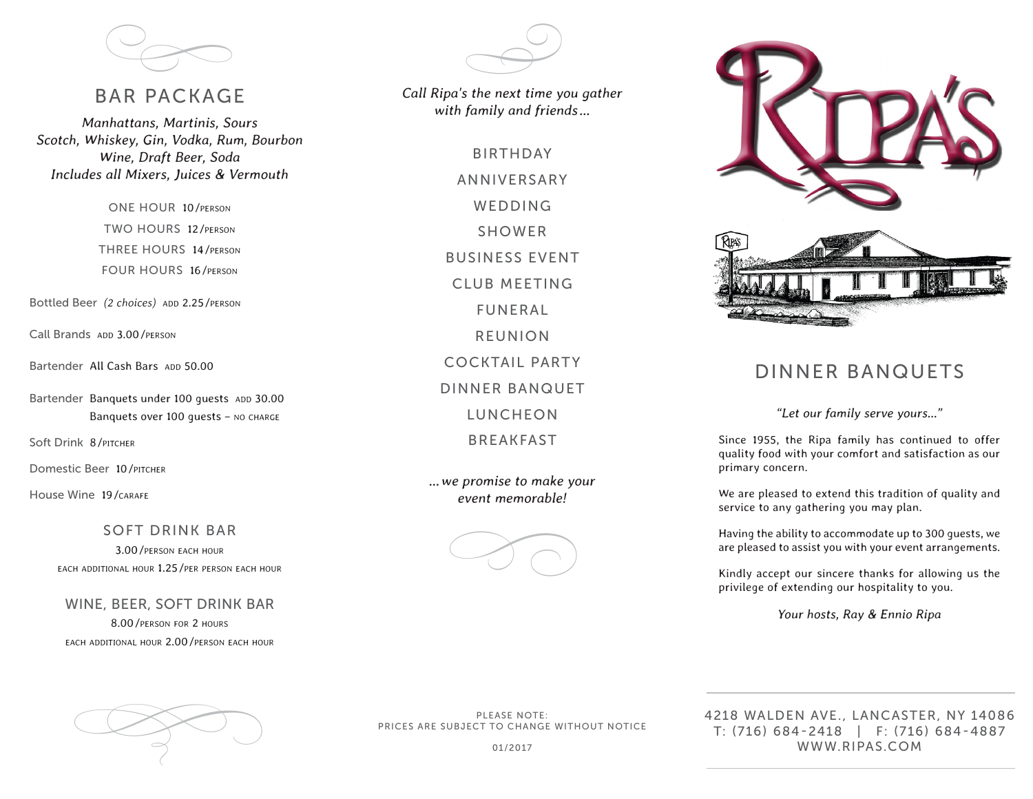

#### BAR PACKAGE

*Manhattans, Martinis, Sours Scotch, Whiskey, Gin, Vodka, Rum, Bourbon Wine, Draft Beer, Soda Includes all Mixers, Juices & Vermouth* 

> ONE HOUR 10/person TWO HOURS 12/person THREE HOURS 14/person FOUR HOURS 16/person

Bottled Beer (2 choices) ADD 2.25/PERSON

Call Brands ADD 3.00 / PERSON

Bartender All Cash Bars App 50.00

Bartender Banquets under 100 quests ADD 30.00 Banquets over 100 quests - NO CHARGE

Soft Drink 8/*PITCHER* 

Domestic Beer 10/PITCHER

House Wine 19/CARAFE

SOFT DRINK BAR 3.00/person each hour each additional hour 1.25/per person each hour

WINE, BEER, SOFT DRINK BAR 8.00/person for 2 hours each additional hour 2.00/person each hour  $\bigoplus$ 

*Call Ripa's the next time you gather with family and friends…*

> BIRTHDAY ANNIVERSARY WEDDING SHOWER BUSINESS EVENT CLUB MEETING FUNERAL REUNION COCKTAIL PARTY DINNER BANQUET LUNCHEON BREAKFAST

*…we promise to make your event memorable!*







### DINNER BANQUETS

*"Let our family serve yours…"* 

Since 1955, the Ripa family has continued to offer quality food with your comfort and satisfaction as our primary concern.

We are pleased to extend this tradition of quality and service to any gathering you may plan.

Having the ability to accommodate up to 300 guests, we are pleased to assist you with your event arrangements.

Kindly accept our sincere thanks for allowing us the privilege of extending our hospitality to you.

*Your hosts, Ray & Ennio Ripa* 



PLEASE NOTE: PRICES ARE SUBJECT TO CHANGE WITHOUT NOTICE

01/2017

4218 WALDEN AVE., LANCASTER, NY 14086 T: (716) 684-2418 | F: (716) 684-4887 WWW.RIPAS.COM